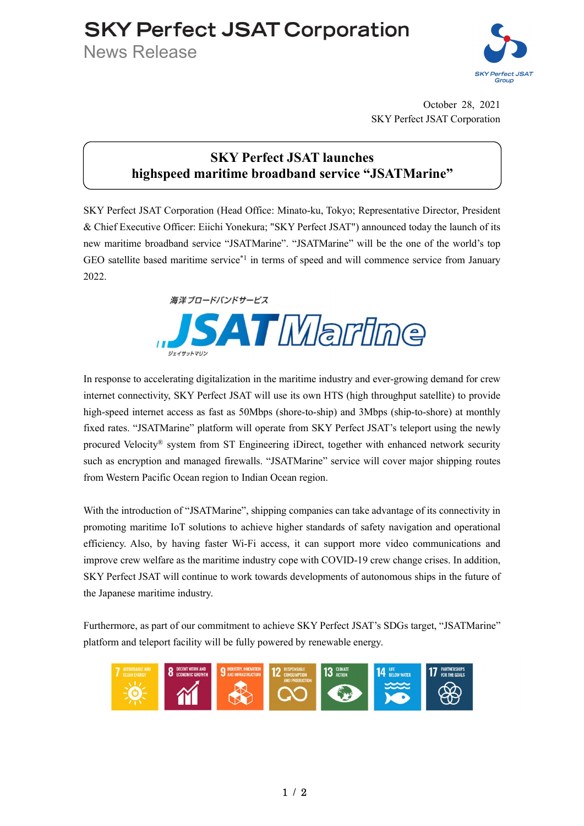## **SKY Perfect JSAT Corporation**

News Release



October 28, 2021 SKY Perfect JSAT Corporation

## SKY Perfect JSAT launches highspeed maritime broadband service "JSATMarine"

SKY Perfect JSAT Corporation (Head Office: Minato-ku, Tokyo; Representative Director, President & Chief Executive Officer: Eiichi Yonekura; "SKY Perfect JSAT") announced today the launch of its new maritime broadband service "JSATMarine". "JSATMarine" will be the one of the world's top GEO satellite based maritime service\*1 in terms of speed and will commence service from January 2022



In response to accelerating digitalization in the maritime industry and ever-growing demand for crew internet connectivity, SKY Perfect JSAT will use its own HTS (high throughput satellite) to provide high-speed internet access as fast as 50Mbps (shore-to-ship) and 3Mbps (ship-to-shore) at monthly fixed rates. "JSATMarine" platform will operate from SKY Perfect JSAT's teleport using the newly procured Velocity® system from ST Engineering iDirect, together with enhanced network security such as encryption and managed firewalls. "JSATMarine" service will cover major shipping routes from Western Pacific Ocean region to Indian Ocean region.

With the introduction of "JSATMarine", shipping companies can take advantage of its connectivity in promoting maritime IoT solutions to achieve higher standards of safety navigation and operational efficiency. Also, by having faster Wi-Fi access, it can support more video communications and improve crew welfare as the maritime industry cope with COVID-19 crew change crises. In addition, SKY Perfect JSAT will continue to work towards developments of autonomous ships in the future of the Japanese maritime industry.

Furthermore, as part of our commitment to achieve SKY Perfect JSAT's SDGs target, "JSATMarine" platform and teleport facility will be fully powered by renewable energy.